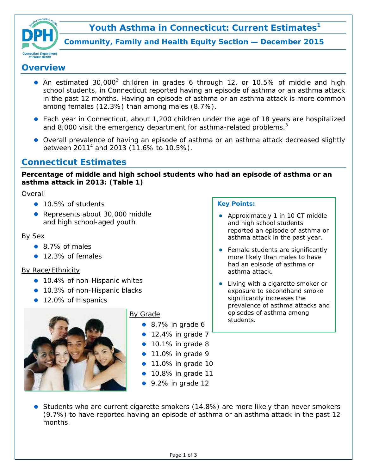



**Community, Family and Health Equity Section — December 2015**

## **Overview**

- An estimated 30,000<sup>2</sup> children in grades 6 through 12, or 10.5% of middle and high school students, in Connecticut reported having an episode of asthma or an asthma attack in the past 12 months. Having an episode of asthma or an asthma attack is more common among females (12.3%) than among males (8.7%).
- Each year in Connecticut, about 1,200 children under the age of 18 years are hospitalized and 8,000 visit the emergency department for asthma-related problems. $3$
- Overall prevalence of having an episode of asthma or an asthma attack decreased slightly between 2011<sup>4</sup> and 2013 (11.6% to 10.5%).

# **Connecticut Estimates**

**Percentage of middle and high school students who had an episode of asthma or an asthma attack in 2013:** *(Table 1)*

## Overall

- 10.5% of students
- Represents about 30,000 middle and high school-aged youth

## By Sex

- 8.7% of males
- 12.3% of females

## By Race/Ethnicity

- 10.4% of non-Hispanic whites
- 10.3% of non-Hispanic blacks
- 12.0% of Hispanics



## By Grade

- 8.7% in grade 6
- $\bullet$  12.4% in grade 7
- $\bullet$  10.1% in grade 8
- **11.0% in grade 9**
- **11.0% in grade 10**
- 10.8% in grade 11
- 9.2% in grade 12

#### **Key Points:**

- Approximately 1 in 10 CT middle and high school students reported an episode of asthma or asthma attack in the past year.
- Female students are significantly more likely than males to have had an episode of asthma or asthma attack.
- Living with a cigarette smoker or exposure to secondhand smoke significantly increases the prevalence of asthma attacks and episodes of asthma among students.

**Students who are current cigarette smokers (14.8%) are more likely than never smokers** (9.7%) to have reported having an episode of asthma or an asthma attack in the past 12 months.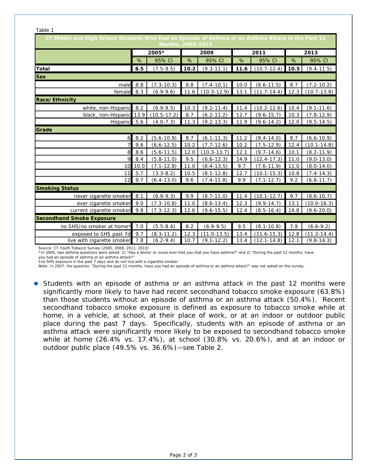| Table 1                                                                                                                 |       |                 |      |                 |      |                 |      |                 |  |  |  |  |  |
|-------------------------------------------------------------------------------------------------------------------------|-------|-----------------|------|-----------------|------|-----------------|------|-----------------|--|--|--|--|--|
| CT Middle and High School Students Who Had an Episode of Asthma or an Asthma Attack in the Past 12<br>Months, 2005-2013 |       |                 |      |                 |      |                 |      |                 |  |  |  |  |  |
|                                                                                                                         | 2005* |                 | 2009 |                 | 2011 |                 | 2013 |                 |  |  |  |  |  |
|                                                                                                                         | %     | 95% CI          | %    | 95% CI          | %    | 95% CI          | %    | 95% CI          |  |  |  |  |  |
| <b>Total</b>                                                                                                            | 8.5   | $(7.5-9.5)$     | 10.2 | $(9.3 - 11.1)$  | 11.6 | $(10.7 - 12.4)$ | 10.5 | $(9.4 - 11.5)$  |  |  |  |  |  |
| <b>Sex</b>                                                                                                              |       |                 |      |                 |      |                 |      |                 |  |  |  |  |  |
| male                                                                                                                    | 8.8   | $(7.3 - 10.3)$  | 8.8  | $(7.4 - 10.1)$  | 10.0 | $(8.6 - 11.5)$  | 8.7  | $(7.2 - 10.2)$  |  |  |  |  |  |
| female                                                                                                                  | 8.3   | $(6.9-9.6)$     | 11.6 | $(10.3 - 12.9)$ | 13.1 | $(11.7 - 14.4)$ | 12.3 | $(10.7 - 13.8)$ |  |  |  |  |  |
| Race/Ethnicity                                                                                                          |       |                 |      |                 |      |                 |      |                 |  |  |  |  |  |
| white, non-Hispanic                                                                                                     | 8.2   | $(6.9-9.5)$     | 10.3 | $(9.2 - 11.4)$  | 11.4 | $(10.2 - 12.6)$ | 10.4 | $(9.1 - 11.6)$  |  |  |  |  |  |
| black, non-Hispanic                                                                                                     | 13.9  | $(10.5 - 17.2)$ | 8.7  | $(6.2 - 11.2)$  | 12.7 | $(9.6 - 15.7)$  | 10.3 | $(7.8 - 12.9)$  |  |  |  |  |  |
| Hispanic                                                                                                                | 5.6   | $(4.0 - 7.3)$   | 11.3 | $(9.2 - 13.3)$  | 11.9 | $(9.6 - 14.2)$  | 12.0 | $(9.5 - 14.5)$  |  |  |  |  |  |
| Grade                                                                                                                   |       |                 |      |                 |      |                 |      |                 |  |  |  |  |  |
| 6                                                                                                                       | 8.2   | $(5.6 - 10.9)$  | 8.7  | $(6.1 - 11.3)$  | 11.2 | $(8.4 - 14.0)$  | 8.7  | $(6.6 - 10.9)$  |  |  |  |  |  |
| 7                                                                                                                       | 9.6   | $(6.6 - 12.5)$  | 10.2 | $(7.7-12.6)$    | 10.2 | $(7.5-12.9)$    | 12.4 | $(10.1 - 14.8)$ |  |  |  |  |  |
| 8                                                                                                                       | 8.6   | $(5.6 - 11.5)$  | 12.0 | $(10.3 - 13.7)$ | 12.1 | $(9.7 - 14.6)$  | 10.1 | $(8.2 - 11.9)$  |  |  |  |  |  |
| 9                                                                                                                       | 8.4   | $(5.8 - 11.0)$  | 9.5  | $(6.6 - 12.3)$  | 14.9 | $(12.4 - 17.3)$ | 11.0 | $(9.0 - 13.0)$  |  |  |  |  |  |
| 10                                                                                                                      | 10.0  | $(7.1 - 12.8)$  | 11.0 | $(8.4 - 13.5)$  | 9.7  | $(7.6 - 11.9)$  | 11.0 | $(8.0 - 14.0)$  |  |  |  |  |  |
| 11                                                                                                                      | 5.7   | $(3.3 - 8.2)$   | 10.5 | $(8.1 - 12.8)$  | 12.7 | $(10.1 - 15.3)$ | 10.8 | $(7.4 - 14.3)$  |  |  |  |  |  |
| 12                                                                                                                      | 9.7   | $(6.4 - 13.0)$  | 9.6  | $(7.4 - 11.8)$  | 9.9  | $(7.1 - 12.7)$  | 9.2  | $(6.8 - 11.7)$  |  |  |  |  |  |
| <b>Smoking Status</b>                                                                                                   |       |                 |      |                 |      |                 |      |                 |  |  |  |  |  |
| never cigarette smoker                                                                                                  | 8.1   | $(6.9-9.3)$     | 9.9  | $(8.7 - 11.0)$  | 11.4 | $(10.1 - 12.7)$ | 9.7  | $(8.6 - 10.7)$  |  |  |  |  |  |
| ever cigarette smoker                                                                                                   | 9.0   | $(7.3 - 10.8)$  | 11.0 | $(8.6 - 13.4)$  | 12.3 | $(9.9 - 14.7)$  | 13.1 | $(10.0 - 16.3)$ |  |  |  |  |  |
| current cigarette smoker                                                                                                | 9.8   | $(7.3 - 12.3)$  | 12.6 | $(9.6 - 15.5)$  | 12.4 | $(8.5 - 16.4)$  | 14.8 | $(9.6 - 20.0)$  |  |  |  |  |  |
| <b>Secondhand Smoke Exposure</b>                                                                                        |       |                 |      |                 |      |                 |      |                 |  |  |  |  |  |
| no SHS/no smoker at homet                                                                                               | 7.0   | $(5.5 - 8.4)$   | 8.2  | $(6.9-9.5)$     | 9.5  | $(8.1 - 10.8)$  | 7.9  | $(6.6-9.2)$     |  |  |  |  |  |
| exposed to SHS past 7d                                                                                                  | 9.7   | $(8.3 - 11.2)$  | 12.3 | $(11.0 - 13.5)$ | 13.4 | $(11.6 - 15.3)$ | 12.8 | $(11.2 - 14.4)$ |  |  |  |  |  |
| live with cigarette smoker                                                                                              | 7.8   | $(6.2-9.4)$     | 10.7 | $(9.1 - 12.2)$  | 13.4 | $(12.1 - 14.8)$ | 12.1 | $(9.8 - 14.3)$  |  |  |  |  |  |

Source: CT Youth Tobacco Survey (2005, 2009, 2011, 2013)

\*In 2005, two asthma questions were asked: 1) "Has a doctor or nurse ever told you that you have asthma?" and 2) "During the past 12 months, have you had an episode of asthma or an asthma attack?"

†no SHS exposure in the past 7 days and do not live with a cigarette smoker

Note: In 2007, the question, "During the past 12 months, have you had an episode of asthma or an asthma attack?" was not asked on the survey.

• Students with an episode of asthma or an asthma attack in the past 12 months were significantly more likely to have had recent secondhand tobacco smoke exposure (63.8%) than those students without an episode of asthma or an asthma attack (50.4%). Recent secondhand tobacco smoke exposure is defined as exposure to tobacco smoke while at home, in a vehicle, at school, at their place of work, or at an indoor or outdoor public place during the past 7 days. Specifically, students with an episode of asthma or an asthma attack were significantly more likely to be exposed to secondhand tobacco smoke while at home (26.4% vs. 17.4%), at school (30.8% vs. 20.6%), and at an indoor or outdoor public place (49.5% vs. 36.6%)—*see Table 2*.